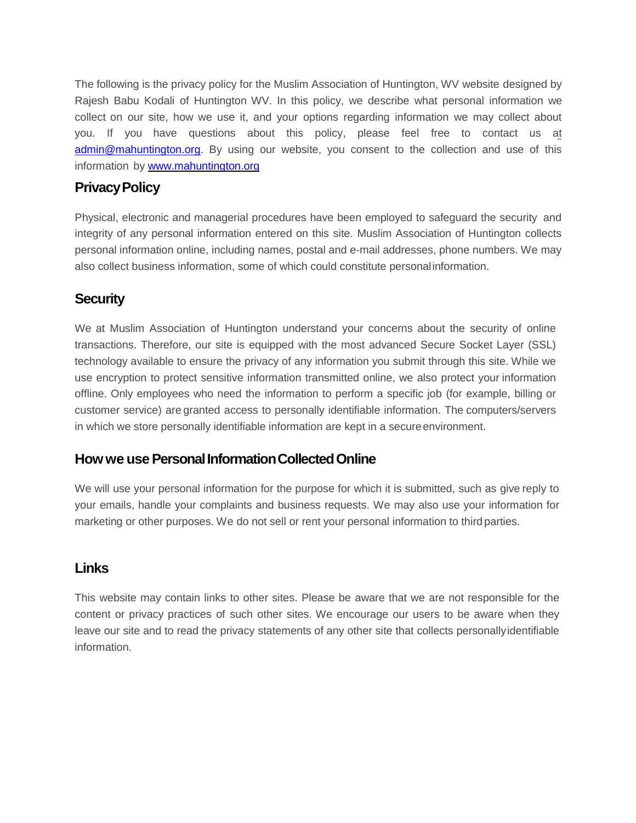The following is the privacy policy for the Muslim Association of Huntington, WV website designed by Rajesh Babu Kodali of Huntington WV. In this policy, we describe what personal information we collect on our site, how we use it, and your options regarding information we may collect about you. If you have questions about this policy, please feel free to contact us at [admin@mahuntington.org.](mailto:admin@mahuntington.com) By using our website, you consent to the collection and use of this information by [www.mahuntington.org](http://www.mahuntington.org/)

### **Privacy Policy**

Physical, electronic and managerial procedures have been employed to safeguard the security and integrity of any personal information entered on this site. Muslim Association of Huntington collects personal information online, including names, postal and e-mail addresses, phone numbers. We may also collect business information, some of which could constitute personalinformation.

#### **Security**

We at Muslim Association of Huntington understand your concerns about the security of online transactions. Therefore, our site is equipped with the most advanced Secure Socket Layer (SSL) technology available to ensure the privacy of any information you submit through this site. While we use encryption to protect sensitive information transmitted online, we also protect your information offline. Only employees who need the information to perform a specific job (for example, billing or customer service) are granted access to personally identifiable information. The computers/servers in which we store personally identifiable information are kept in a secureenvironment.

#### **How we use Personal Information Collected Online**

We will use your personal information for the purpose for which it is submitted, such as give reply to your emails, handle your complaints and business requests. We may also use your information for marketing or other purposes. We do not sell or rent your personal information to third parties.

#### **Links**

This website may contain links to other sites. Please be aware that we are not responsible for the content or privacy practices of such other sites. We encourage our users to be aware when they leave our site and to read the privacy statements of any other site that collects personallyidentifiable information.